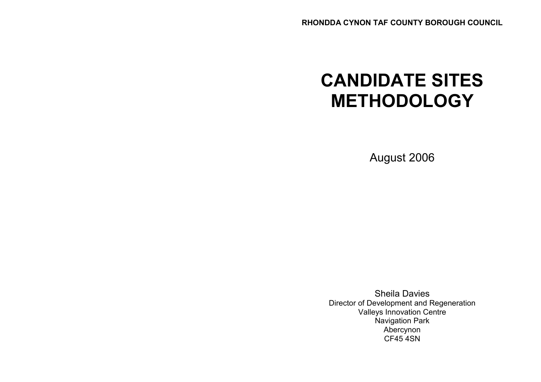# CANDIDATE SITES METHODOLOGY

August 2006

Sheila Davies Director of Development and Regeneration Valleys Innovation Centre Navigation Park Abercynon CF45 4SN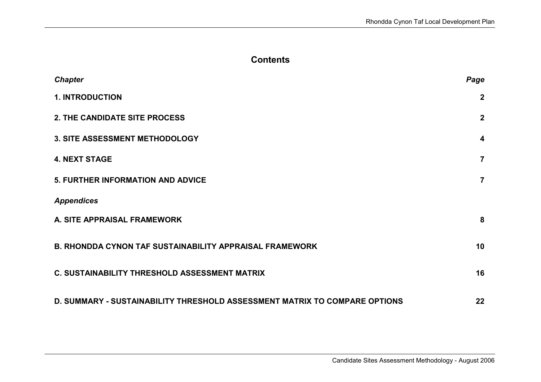# **Contents**

| <b>Chapter</b>                                                             | Page                    |
|----------------------------------------------------------------------------|-------------------------|
| <b>1. INTRODUCTION</b>                                                     | $\mathbf 2$             |
| 2. THE CANDIDATE SITE PROCESS                                              | $\boldsymbol{2}$        |
| 3. SITE ASSESSMENT METHODOLOGY                                             | $\overline{\mathbf{4}}$ |
| <b>4. NEXT STAGE</b>                                                       | $\overline{7}$          |
| 5. FURTHER INFORMATION AND ADVICE                                          | $\overline{7}$          |
| <b>Appendices</b>                                                          |                         |
| A. SITE APPRAISAL FRAMEWORK                                                | 8                       |
| <b>B. RHONDDA CYNON TAF SUSTAINABILITY APPRAISAL FRAMEWORK</b>             | 10                      |
| <b>C. SUSTAINABILITY THRESHOLD ASSESSMENT MATRIX</b>                       | 16                      |
| D. SUMMARY - SUSTAINABILITY THRESHOLD ASSESSMENT MATRIX TO COMPARE OPTIONS | 22                      |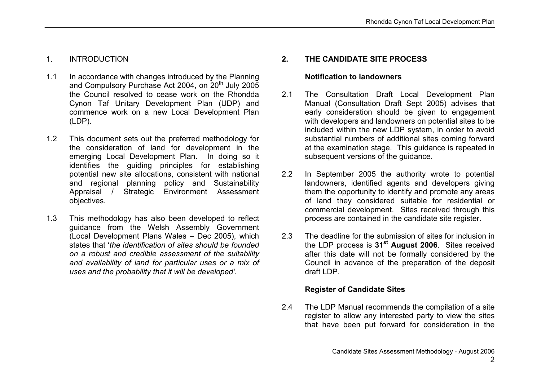## 1. INTRODUCTION

- 1.1 In accordance with changes introduced by the Planning and Compulsory Purchase Act 2004, on 20<sup>th</sup> July 2005 the Council resolved to cease work on the Rhondda Cynon Taf Unitary Development Plan (UDP) and commence work on a new Local Development Plan (LDP).
- 1.2 This document sets out the preferred methodology for the consideration of land for development in the emerging Local Development Plan. In doing so it identifies the guiding principles for establishing potential new site allocations, consistent with national and regional planning policy and Sustainability Appraisal / Strategic Environment Assessment objectives.
- 1.3 This methodology has also been developed to reflect guidance from the Welsh Assembly Government (Local Development Plans Wales – Dec 2005), which states that 'the identification of sites should be founded on a robust and credible assessment of the suitability and availability of land for particular uses or a mix of uses and the probability that it will be developed'.

# 2. THE CANDIDATE SITE PROCESS

#### Notification to landowners

- 2.1 The Consultation Draft Local Development Plan Manual (Consultation Draft Sept 2005) advises that early consideration should be given to engagement with developers and landowners on potential sites to be included within the new LDP system, in order to avoid substantial numbers of additional sites coming forward at the examination stage. This guidance is repeated in subsequent versions of the guidance.
- 2.2 In September 2005 the authority wrote to potential landowners, identified agents and developers giving them the opportunity to identify and promote any areas of land they considered suitable for residential or commercial development. Sites received through this process are contained in the candidate site register.
- 2.3 The deadline for the submission of sites for inclusion in the LDP process is 31<sup>st</sup> August 2006. Sites received after this date will not be formally considered by the Council in advance of the preparation of the deposit draft LDP.

## Register of Candidate Sites

2.4 The LDP Manual recommends the compilation of a site register to allow any interested party to view the sites that have been put forward for consideration in the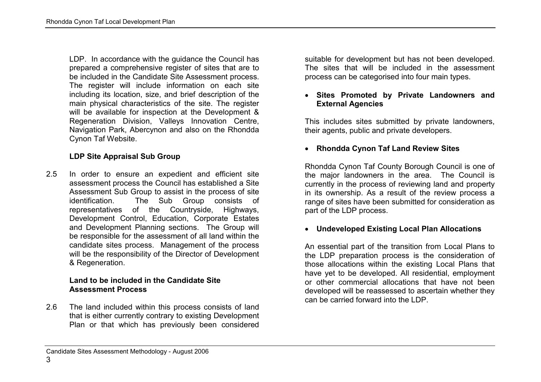LDP. In accordance with the guidance the Council has prepared a comprehensive register of sites that are to be included in the Candidate Site Assessment process. The register will include information on each site including its location, size, and brief description of the main physical characteristics of the site. The register will be available for inspection at the Development & Regeneration Division, Valleys Innovation Centre, Navigation Park, Abercynon and also on the Rhondda Cynon Taf Website.

## LDP Site Appraisal Sub Group

2.5 In order to ensure an expedient and efficient site assessment process the Council has established a Site Assessment Sub Group to assist in the process of site identification. The Sub Group consists of representatives of the Countryside, Highways, Development Control, Education, Corporate Estates and Development Planning sections. The Group will be responsible for the assessment of all land within the candidate sites process. Management of the process will be the responsibility of the Director of Development & Regeneration.

#### Land to be included in the Candidate Site Assessment Process

2.6 The land included within this process consists of land that is either currently contrary to existing Development Plan or that which has previously been considered suitable for development but has not been developed. The sites that will be included in the assessment process can be categorised into four main types.

#### • Sites Promoted by Private Landowners and External Agencies

This includes sites submitted by private landowners, their agents, public and private developers.

# • Rhondda Cynon Taf Land Review Sites

Rhondda Cynon Taf County Borough Council is one of the major landowners in the area. The Council is currently in the process of reviewing land and property in its ownership. As a result of the review process a range of sites have been submitted for consideration as part of the LDP process.

#### • Undeveloped Existing Local Plan Allocations

An essential part of the transition from Local Plans to the LDP preparation process is the consideration of those allocations within the existing Local Plans that have yet to be developed. All residential, employment or other commercial allocations that have not been developed will be reassessed to ascertain whether they can be carried forward into the LDP.

#### Candidate Sites Assessment Methodology - August 2006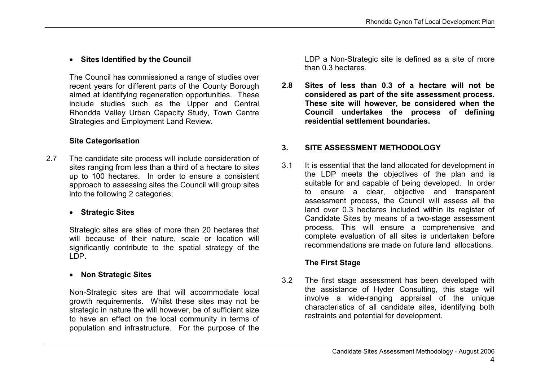## • Sites Identified by the Council

The Council has commissioned a range of studies over recent years for different parts of the County Borough aimed at identifying regeneration opportunities. These include studies such as the Upper and Central Rhondda Valley Urban Capacity Study, Town Centre Strategies and Employment Land Review.

## Site Categorisation

2.7 The candidate site process will include consideration of sites ranging from less than a third of a hectare to sites up to 100 hectares. In order to ensure a consistent approach to assessing sites the Council will group sites into the following 2 categories;

## • Strategic Sites

Strategic sites are sites of more than 20 hectares that will because of their nature, scale or location will significantly contribute to the spatial strategy of the LDP.

## • Non Strategic Sites

Non-Strategic sites are that will accommodate local growth requirements. Whilst these sites may not be strategic in nature the will however, be of sufficient size to have an effect on the local community in terms of population and infrastructure. For the purpose of the LDP a Non-Strategic site is defined as a site of more than 0.3 hectares.

2.8 Sites of less than 0.3 of a hectare will not be considered as part of the site assessment process. These site will however, be considered when the Council undertakes the process of defining residential settlement boundaries.

# 3. SITE ASSESSMENT METHODOLOGY

3.1 It is essential that the land allocated for development in the LDP meets the objectives of the plan and is suitable for and capable of being developed. In order to ensure a clear, objective and transparent assessment process, the Council will assess all the land over 0.3 hectares included within its register of Candidate Sites by means of a two-stage assessment process. This will ensure a comprehensive and complete evaluation of all sites is undertaken before recommendations are made on future land allocations.

# The First Stage

3.2 The first stage assessment has been developed with the assistance of Hyder Consulting, this stage will involve a wide-ranging appraisal of the unique characteristics of all candidate sites, identifying both restraints and potential for development.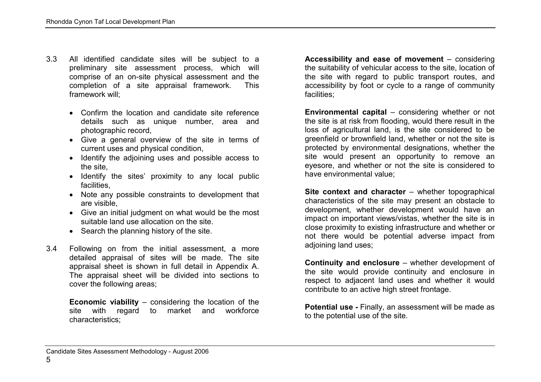- 3.3 All identified candidate sites will be subject to a preliminary site assessment process, which will comprise of an on-site physical assessment and the completion of a site appraisal framework. This framework will;
	- Confirm the location and candidate site reference details such as unique number, area and photographic record,
	- Give a general overview of the site in terms of current uses and physical condition,
	- Identify the adjoining uses and possible access to the site,
	- Identify the sites' proximity to any local public facilities,
	- Note any possible constraints to development that are visible,
	- Give an initial judgment on what would be the most suitable land use allocation on the site.
	- Search the planning history of the site.
- 3.4 Following on from the initial assessment, a more detailed appraisal of sites will be made. The site appraisal sheet is shown in full detail in Appendix A. The appraisal sheet will be divided into sections to cover the following areas;

Economic viability – considering the location of the site with regard to market and workforce characteristics;

Accessibility and ease of movement – considering the suitability of vehicular access to the site, location of the site with regard to public transport routes, and accessibility by foot or cycle to a range of community facilities;

Environmental capital – considering whether or not the site is at risk from flooding, would there result in the loss of agricultural land, is the site considered to be greenfield or brownfield land, whether or not the site is protected by environmental designations, whether the site would present an opportunity to remove an eyesore, and whether or not the site is considered to have environmental value;

Site context and character – whether topographical characteristics of the site may present an obstacle to development, whether development would have an impact on important views/vistas, whether the site is in close proximity to existing infrastructure and whether or not there would be potential adverse impact from adjoining land uses;

Continuity and enclosure – whether development of the site would provide continuity and enclosure in respect to adjacent land uses and whether it would contribute to an active high street frontage.

Potential use - Finally, an assessment will be made as to the potential use of the site.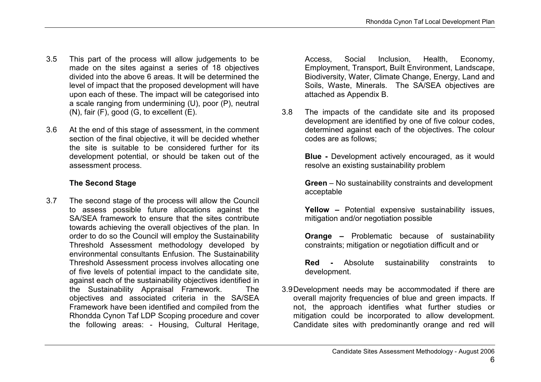- 3.5 This part of the process will allow judgements to be made on the sites against a series of 18 objectives divided into the above 6 areas. It will be determined the level of impact that the proposed development will have upon each of these. The impact will be categorised into a scale ranging from undermining (U), poor (P), neutral  $(N)$ , fair  $(F)$ , good  $(G, to excellent (E)).$
- 3.6 At the end of this stage of assessment, in the comment section of the final objective, it will be decided whether the site is suitable to be considered further for its development potential, or should be taken out of the assessment process.

## The Second Stage

3.7 The second stage of the process will allow the Council to assess possible future allocations against the SA/SEA framework to ensure that the sites contribute towards achieving the overall objectives of the plan. In order to do so the Council will employ the Sustainability Threshold Assessment methodology developed by environmental consultants Enfusion. The Sustainability Threshold Assessment process involves allocating one of five levels of potential impact to the candidate site, against each of the sustainability objectives identified in the Sustainability Appraisal Framework. The objectives and associated criteria in the SA/SEA Framework have been identified and compiled from the Rhondda Cynon Taf LDP Scoping procedure and cover the following areas: - Housing, Cultural Heritage,

Access, Social Inclusion, Health, Economy, Employment, Transport, Built Environment, Landscape, Biodiversity, Water, Climate Change, Energy, Land and Soils, Waste, Minerals. The SA/SEA objectives are attached as Appendix B.

3.8 The impacts of the candidate site and its proposed development are identified by one of five colour codes, determined against each of the objectives. The colour codes are as follows;

> Blue - Development actively encouraged, as it would resolve an existing sustainability problem

> Green – No sustainability constraints and development acceptable

> Yellow – Potential expensive sustainability issues, mitigation and/or negotiation possible

> Orange – Problematic because of sustainability constraints; mitigation or negotiation difficult and or

> Red - Absolute sustainability constraints to development.

3.9 Development needs may be accommodated if there are overall majority frequencies of blue and green impacts. If not, the approach identifies what further studies or mitigation could be incorporated to allow development. Candidate sites with predominantly orange and red will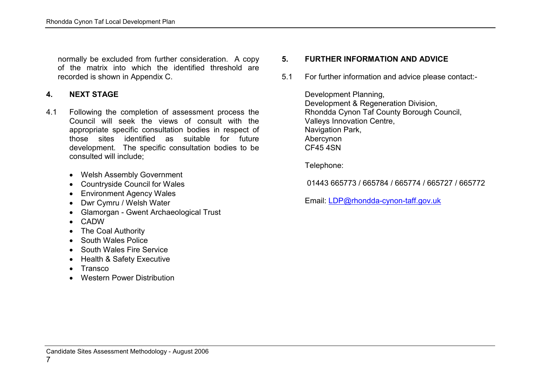normally be excluded from further consideration. A copy of the matrix into which the identified threshold are recorded is shown in Appendix C.

#### 4. NEXT STAGE

- 4.1 Following the completion of assessment process the Council will seek the views of consult with the appropriate specific consultation bodies in respect of those sites identified as suitable for future development. The specific consultation bodies to be consulted will include;
	- Welsh Assembly Government
	- Countryside Council for Wales
	- Environment Agency Wales
	- Dwr Cymru / Welsh Water
	- Glamorgan Gwent Archaeological Trust
	- CADW
	- The Coal Authority
	- South Wales Police
	- South Wales Fire Service
	- Health & Safety Executive
	- Transco
	- Western Power Distribution

# 5. FURTHER INFORMATION AND ADVICE

5.1 For further information and advice please contact:-

Development Planning, Development & Regeneration Division, Rhondda Cynon Taf County Borough Council, Valleys Innovation Centre, Navigation Park, Abercynon CF45 4SN

Telephone:

01443 665773 / 665784 / 665774 / 665727 / 665772

Email: LDP@rhondda-cynon-taff.gov.uk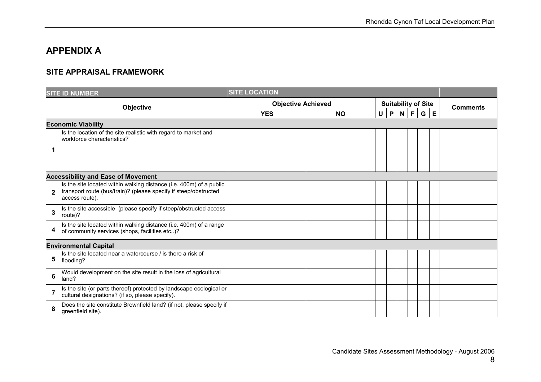# APPENDIX A

## SITE APPRAISAL FRAMEWORK

|              | <b>SITE ID NUMBER</b>                                                                                                                                     |                           |           |                            |   |            |  |   |   |                 |
|--------------|-----------------------------------------------------------------------------------------------------------------------------------------------------------|---------------------------|-----------|----------------------------|---|------------|--|---|---|-----------------|
|              | Objective                                                                                                                                                 | <b>Objective Achieved</b> |           | <b>Suitability of Site</b> |   |            |  |   |   | <b>Comments</b> |
|              |                                                                                                                                                           | <b>YES</b>                | <b>NO</b> | $\cup$                     | P | $N \mid F$ |  | G | E |                 |
|              | <b>Economic Viability</b>                                                                                                                                 |                           |           |                            |   |            |  |   |   |                 |
|              | Is the location of the site realistic with regard to market and<br>workforce characteristics?                                                             |                           |           |                            |   |            |  |   |   |                 |
| 1            |                                                                                                                                                           |                           |           |                            |   |            |  |   |   |                 |
|              | <b>Accessibility and Ease of Movement</b>                                                                                                                 |                           |           |                            |   |            |  |   |   |                 |
| $\mathbf{2}$ | Is the site located within walking distance (i.e. 400m) of a public<br>transport route (bus/train)? (please specify if steep/obstructed<br>access route). |                           |           |                            |   |            |  |   |   |                 |
| 3            | Is the site accessible (please specify if steep/obstructed access<br>route)?                                                                              |                           |           |                            |   |            |  |   |   |                 |
| 4            | Is the site located within walking distance (i.e. 400m) of a range<br>of community services (shops, facilities etc)?                                      |                           |           |                            |   |            |  |   |   |                 |
|              | <b>Environmental Capital</b>                                                                                                                              |                           |           |                            |   |            |  |   |   |                 |
| 5            | Is the site located near a watercourse / is there a risk of<br>flooding?                                                                                  |                           |           |                            |   |            |  |   |   |                 |
| 6            | Would development on the site result in the loss of agricultural<br>land?                                                                                 |                           |           |                            |   |            |  |   |   |                 |
| 7            | Is the site (or parts thereof) protected by landscape ecological or<br>cultural designations? (if so, please specify).                                    |                           |           |                            |   |            |  |   |   |                 |
| 8            | Does the site constitute Brownfield land? (if not, please specify if<br>greenfield site).                                                                 |                           |           |                            |   |            |  |   |   |                 |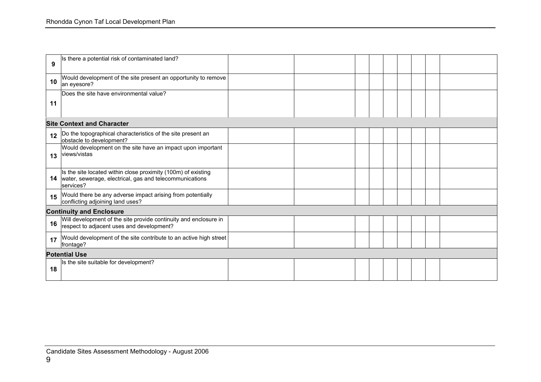| 9  | Is there a potential risk of contaminated land?                                                                                       |  |  |  |  |  |
|----|---------------------------------------------------------------------------------------------------------------------------------------|--|--|--|--|--|
| 10 | Would development of the site present an opportunity to remove<br>an eyesore?                                                         |  |  |  |  |  |
|    | Does the site have environmental value?                                                                                               |  |  |  |  |  |
| 11 |                                                                                                                                       |  |  |  |  |  |
|    | <b>Site Context and Character</b>                                                                                                     |  |  |  |  |  |
| 12 | Do the topographical characteristics of the site present an<br>obstacle to development?                                               |  |  |  |  |  |
| 13 | Would development on the site have an impact upon important<br>views/vistas                                                           |  |  |  |  |  |
| 14 | Is the site located within close proximity (100m) of existing<br>water, sewerage, electrical, gas and telecommunications<br>services? |  |  |  |  |  |
| 15 | Would there be any adverse impact arising from potentially<br>conflicting adjoining land uses?                                        |  |  |  |  |  |
|    | <b>Continuity and Enclosure</b>                                                                                                       |  |  |  |  |  |
| 16 | Will development of the site provide continuity and enclosure in<br>respect to adjacent uses and development?                         |  |  |  |  |  |
| 17 | Would development of the site contribute to an active high street<br>frontage?                                                        |  |  |  |  |  |
|    | <b>Potential Use</b>                                                                                                                  |  |  |  |  |  |
| 18 | Is the site suitable for development?                                                                                                 |  |  |  |  |  |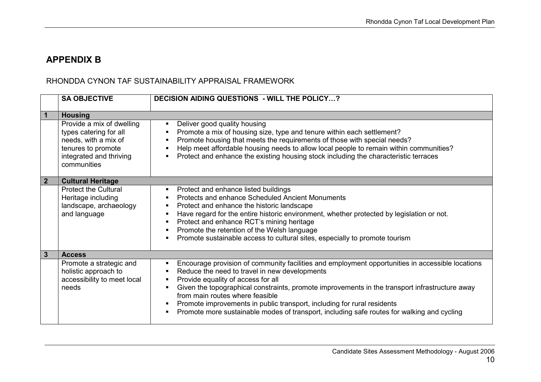# APPENDIX B

# RHONDDA CYNON TAF SUSTAINABILITY APPRAISAL FRAMEWORK

|                | <b>SA OBJECTIVE</b>                                                                                                                         | <b>DECISION AIDING QUESTIONS - WILL THE POLICY?</b>                                                                                                                                                                                                                                                                                                                                                                                                                                                   |
|----------------|---------------------------------------------------------------------------------------------------------------------------------------------|-------------------------------------------------------------------------------------------------------------------------------------------------------------------------------------------------------------------------------------------------------------------------------------------------------------------------------------------------------------------------------------------------------------------------------------------------------------------------------------------------------|
| $\overline{1}$ | <b>Housing</b>                                                                                                                              |                                                                                                                                                                                                                                                                                                                                                                                                                                                                                                       |
|                | Provide a mix of dwelling<br>types catering for all<br>needs, with a mix of<br>tenures to promote<br>integrated and thriving<br>communities | Deliver good quality housing<br>Promote a mix of housing size, type and tenure within each settlement?<br>Promote housing that meets the requirements of those with special needs?<br>Help meet affordable housing needs to allow local people to remain within communities?<br>Protect and enhance the existing housing stock including the characteristic terraces                                                                                                                                  |
| $\overline{2}$ | <b>Cultural Heritage</b>                                                                                                                    |                                                                                                                                                                                                                                                                                                                                                                                                                                                                                                       |
|                | <b>Protect the Cultural</b><br>Heritage including<br>landscape, archaeology<br>and language                                                 | Protect and enhance listed buildings<br><b>Protects and enhance Scheduled Ancient Monuments</b><br>Protect and enhance the historic landscape<br>Have regard for the entire historic environment, whether protected by legislation or not.<br>Protect and enhance RCT's mining heritage<br>Promote the retention of the Welsh language<br>Promote sustainable access to cultural sites, especially to promote tourism                                                                                 |
| 3              | <b>Access</b>                                                                                                                               |                                                                                                                                                                                                                                                                                                                                                                                                                                                                                                       |
|                | Promote a strategic and<br>holistic approach to<br>accessibility to meet local<br>needs                                                     | Encourage provision of community facilities and employment opportunities in accessible locations<br>Reduce the need to travel in new developments<br>Provide equality of access for all<br>Given the topographical constraints, promote improvements in the transport infrastructure away<br>from main routes where feasible<br>Promote improvements in public transport, including for rural residents<br>Promote more sustainable modes of transport, including safe routes for walking and cycling |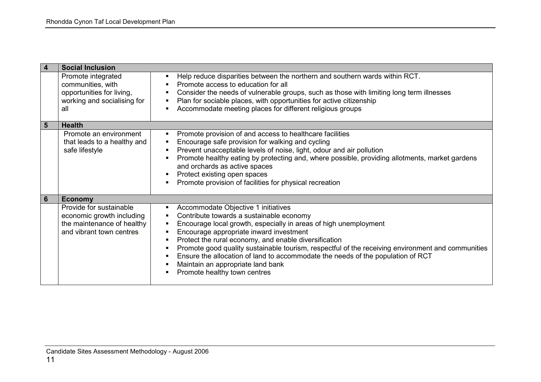|                | <b>Social Inclusion</b>                                                                                         |                                                                                                                                                                                                                                                                                                                                                                                                                                                                                                                                     |
|----------------|-----------------------------------------------------------------------------------------------------------------|-------------------------------------------------------------------------------------------------------------------------------------------------------------------------------------------------------------------------------------------------------------------------------------------------------------------------------------------------------------------------------------------------------------------------------------------------------------------------------------------------------------------------------------|
|                | Promote integrated<br>communities, with<br>opportunities for living,                                            | Help reduce disparities between the northern and southern wards within RCT.<br>Promote access to education for all<br>Consider the needs of vulnerable groups, such as those with limiting long term illnesses                                                                                                                                                                                                                                                                                                                      |
|                | working and socialising for<br>all                                                                              | Plan for sociable places, with opportunities for active citizenship<br>٠<br>Accommodate meeting places for different religious groups                                                                                                                                                                                                                                                                                                                                                                                               |
| $5\phantom{1}$ | <b>Health</b>                                                                                                   |                                                                                                                                                                                                                                                                                                                                                                                                                                                                                                                                     |
|                | Promote an environment<br>that leads to a healthy and<br>safe lifestyle                                         | Promote provision of and access to healthcare facilities<br>٠<br>Encourage safe provision for walking and cycling<br>Prevent unacceptable levels of noise, light, odour and air pollution<br>Promote healthy eating by protecting and, where possible, providing allotments, market gardens<br>and orchards as active spaces<br>Protect existing open spaces<br>٠<br>Promote provision of facilities for physical recreation                                                                                                        |
| 6              | <b>Economy</b>                                                                                                  |                                                                                                                                                                                                                                                                                                                                                                                                                                                                                                                                     |
|                | Provide for sustainable<br>economic growth including<br>the maintenance of healthy<br>and vibrant town centres. | Accommodate Objective 1 initiatives<br>٠<br>Contribute towards a sustainable economy<br>٠<br>Encourage local growth, especially in areas of high unemployment<br>٠<br>Encourage appropriate inward investment<br>Protect the rural economy, and enable diversification<br>Promote good quality sustainable tourism, respectful of the receiving environment and communities<br>Ensure the allocation of land to accommodate the needs of the population of RCT<br>Maintain an appropriate land bank<br>Promote healthy town centres |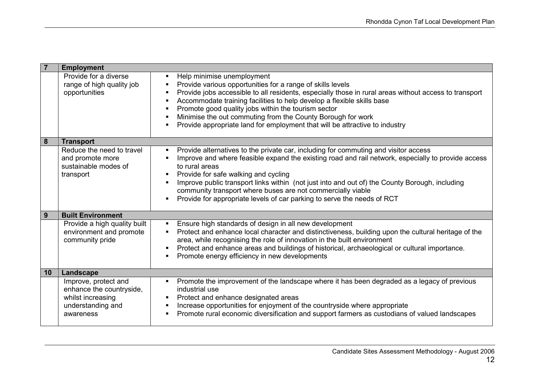| $\overline{7}$   | <b>Employment</b>                                                                                       |                                                                                                                                                                                                                                                                                                                                                                                                                                                                                                 |
|------------------|---------------------------------------------------------------------------------------------------------|-------------------------------------------------------------------------------------------------------------------------------------------------------------------------------------------------------------------------------------------------------------------------------------------------------------------------------------------------------------------------------------------------------------------------------------------------------------------------------------------------|
|                  | Provide for a diverse<br>range of high quality job<br>opportunities                                     | Help minimise unemployment<br>Provide various opportunities for a range of skills levels<br>Provide jobs accessible to all residents, especially those in rural areas without access to transport<br>Accommodate training facilities to help develop a flexible skills base<br>Promote good quality jobs within the tourism sector<br>Minimise the out commuting from the County Borough for work<br>Provide appropriate land for employment that will be attractive to industry                |
| $\boldsymbol{8}$ | <b>Transport</b>                                                                                        |                                                                                                                                                                                                                                                                                                                                                                                                                                                                                                 |
|                  | Reduce the need to travel<br>and promote more<br>sustainable modes of<br>transport                      | Provide alternatives to the private car, including for commuting and visitor access<br>Improve and where feasible expand the existing road and rail network, especially to provide access<br>to rural areas<br>Provide for safe walking and cycling<br>Improve public transport links within (not just into and out of) the County Borough, including<br>community transport where buses are not commercially viable<br>Provide for appropriate levels of car parking to serve the needs of RCT |
| 9                | <b>Built Environment</b>                                                                                |                                                                                                                                                                                                                                                                                                                                                                                                                                                                                                 |
|                  | Provide a high quality built<br>environment and promote<br>community pride                              | Ensure high standards of design in all new development<br>Protect and enhance local character and distinctiveness, building upon the cultural heritage of the<br>area, while recognising the role of innovation in the built environment<br>Protect and enhance areas and buildings of historical, archaeological or cultural importance.<br>Promote energy efficiency in new developments                                                                                                      |
| 10               | Landscape                                                                                               |                                                                                                                                                                                                                                                                                                                                                                                                                                                                                                 |
|                  | Improve, protect and<br>enhance the countryside,<br>whilst increasing<br>understanding and<br>awareness | Promote the improvement of the landscape where it has been degraded as a legacy of previous<br>industrial use<br>Protect and enhance designated areas<br>Increase opportunities for enjoyment of the countryside where appropriate<br>Promote rural economic diversification and support farmers as custodians of valued landscapes                                                                                                                                                             |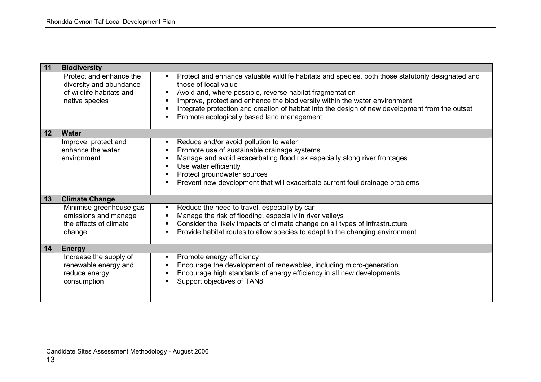| 11                | <b>Biodiversity</b>                                                                              |                                                                                                                                                                                                                                                                                                                                                                                                                      |
|-------------------|--------------------------------------------------------------------------------------------------|----------------------------------------------------------------------------------------------------------------------------------------------------------------------------------------------------------------------------------------------------------------------------------------------------------------------------------------------------------------------------------------------------------------------|
|                   | Protect and enhance the<br>diversity and abundance<br>of wildlife habitats and<br>native species | Protect and enhance valuable wildlife habitats and species, both those statutorily designated and<br>those of local value<br>Avoid and, where possible, reverse habitat fragmentation<br>Improve, protect and enhance the biodiversity within the water environment<br>Integrate protection and creation of habitat into the design of new development from the outset<br>Promote ecologically based land management |
| $12 \overline{ }$ | <b>Water</b>                                                                                     |                                                                                                                                                                                                                                                                                                                                                                                                                      |
|                   | Improve, protect and<br>enhance the water<br>environment                                         | Reduce and/or avoid pollution to water<br>Promote use of sustainable drainage systems<br>Manage and avoid exacerbating flood risk especially along river frontages<br>Use water efficiently<br>Protect groundwater sources<br>Prevent new development that will exacerbate current foul drainage problems                                                                                                            |
| 13                | <b>Climate Change</b>                                                                            |                                                                                                                                                                                                                                                                                                                                                                                                                      |
|                   | Minimise greenhouse gas<br>emissions and manage<br>the effects of climate<br>change              | Reduce the need to travel, especially by car<br>Manage the risk of flooding, especially in river valleys<br>Consider the likely impacts of climate change on all types of infrastructure<br>Provide habitat routes to allow species to adapt to the changing environment                                                                                                                                             |
| 14                | <b>Energy</b>                                                                                    |                                                                                                                                                                                                                                                                                                                                                                                                                      |
|                   | Increase the supply of<br>renewable energy and<br>reduce energy<br>consumption                   | Promote energy efficiency<br>Encourage the development of renewables, including micro-generation<br>Encourage high standards of energy efficiency in all new developments<br>Support objectives of TAN8                                                                                                                                                                                                              |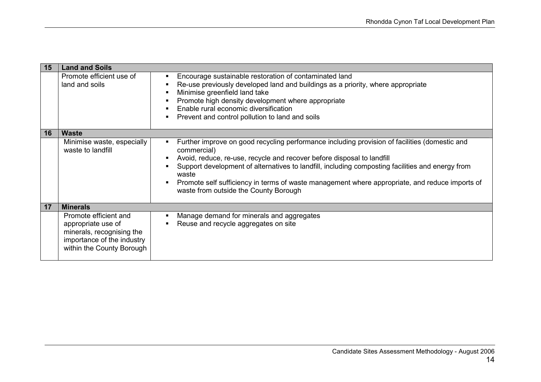| 15 | <b>Land and Soils</b>                                                                                                               |                                                                                                                                                                                                                                                                                                                                                                                                                                                |
|----|-------------------------------------------------------------------------------------------------------------------------------------|------------------------------------------------------------------------------------------------------------------------------------------------------------------------------------------------------------------------------------------------------------------------------------------------------------------------------------------------------------------------------------------------------------------------------------------------|
|    | Promote efficient use of<br>land and soils                                                                                          | Encourage sustainable restoration of contaminated land<br>Re-use previously developed land and buildings as a priority, where appropriate<br>Minimise greenfield land take<br>Promote high density development where appropriate<br>Enable rural economic diversification<br>Prevent and control pollution to land and soils                                                                                                                   |
| 16 | <b>Waste</b>                                                                                                                        |                                                                                                                                                                                                                                                                                                                                                                                                                                                |
|    | Minimise waste, especially<br>waste to landfill                                                                                     | Further improve on good recycling performance including provision of facilities (domestic and<br>commercial)<br>Avoid, reduce, re-use, recycle and recover before disposal to landfill<br>Support development of alternatives to landfill, including composting facilities and energy from<br>waste<br>Promote self sufficiency in terms of waste management where appropriate, and reduce imports of<br>waste from outside the County Borough |
| 17 | <b>Minerals</b>                                                                                                                     |                                                                                                                                                                                                                                                                                                                                                                                                                                                |
|    | Promote efficient and<br>appropriate use of<br>minerals, recognising the<br>importance of the industry<br>within the County Borough | Manage demand for minerals and aggregates<br>Reuse and recycle aggregates on site                                                                                                                                                                                                                                                                                                                                                              |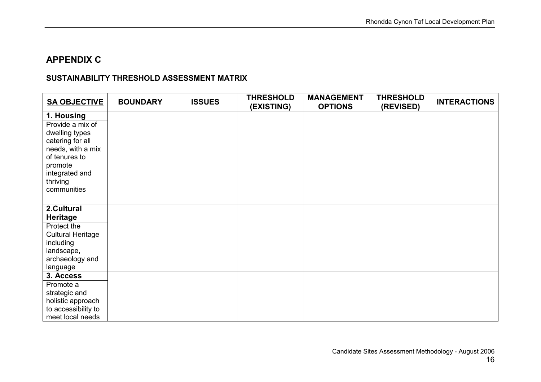# APPENDIX C

# SUSTAINABILITY THRESHOLD ASSESSMENT MATRIX

| <b>SA OBJECTIVE</b>           | <b>BOUNDARY</b> | <b>ISSUES</b> | <b>THRESHOLD</b><br>(EXISTING) | <b>MANAGEMENT</b><br><b>OPTIONS</b> | <b>THRESHOLD</b><br>(REVISED) | <b>INTERACTIONS</b> |
|-------------------------------|-----------------|---------------|--------------------------------|-------------------------------------|-------------------------------|---------------------|
| 1. Housing                    |                 |               |                                |                                     |                               |                     |
| Provide a mix of              |                 |               |                                |                                     |                               |                     |
| dwelling types                |                 |               |                                |                                     |                               |                     |
| catering for all              |                 |               |                                |                                     |                               |                     |
| needs, with a mix             |                 |               |                                |                                     |                               |                     |
| of tenures to<br>promote      |                 |               |                                |                                     |                               |                     |
| integrated and                |                 |               |                                |                                     |                               |                     |
| thriving                      |                 |               |                                |                                     |                               |                     |
| communities                   |                 |               |                                |                                     |                               |                     |
|                               |                 |               |                                |                                     |                               |                     |
| 2.Cultural                    |                 |               |                                |                                     |                               |                     |
| <b>Heritage</b>               |                 |               |                                |                                     |                               |                     |
| Protect the                   |                 |               |                                |                                     |                               |                     |
| <b>Cultural Heritage</b>      |                 |               |                                |                                     |                               |                     |
| including                     |                 |               |                                |                                     |                               |                     |
| landscape,<br>archaeology and |                 |               |                                |                                     |                               |                     |
| language                      |                 |               |                                |                                     |                               |                     |
| 3. Access                     |                 |               |                                |                                     |                               |                     |
| Promote a                     |                 |               |                                |                                     |                               |                     |
| strategic and                 |                 |               |                                |                                     |                               |                     |
| holistic approach             |                 |               |                                |                                     |                               |                     |
| to accessibility to           |                 |               |                                |                                     |                               |                     |
| meet local needs              |                 |               |                                |                                     |                               |                     |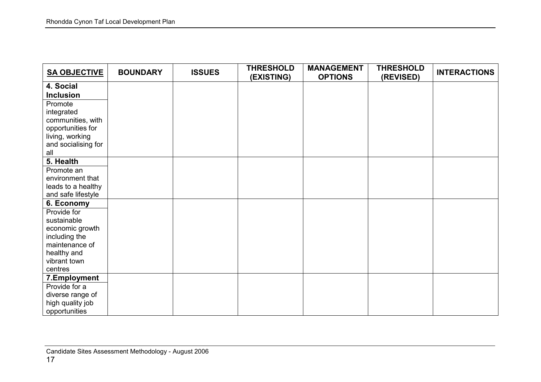| <b>SA OBJECTIVE</b>                    | <b>BOUNDARY</b> | <b>ISSUES</b> | <b>THRESHOLD</b><br>(EXISTING) | <b>MANAGEMENT</b><br><b>OPTIONS</b> | <b>THRESHOLD</b><br>(REVISED) | <b>INTERACTIONS</b> |
|----------------------------------------|-----------------|---------------|--------------------------------|-------------------------------------|-------------------------------|---------------------|
| 4. Social                              |                 |               |                                |                                     |                               |                     |
| <b>Inclusion</b>                       |                 |               |                                |                                     |                               |                     |
| Promote                                |                 |               |                                |                                     |                               |                     |
| integrated                             |                 |               |                                |                                     |                               |                     |
| communities, with                      |                 |               |                                |                                     |                               |                     |
| opportunities for                      |                 |               |                                |                                     |                               |                     |
| living, working<br>and socialising for |                 |               |                                |                                     |                               |                     |
| all                                    |                 |               |                                |                                     |                               |                     |
| 5. Health                              |                 |               |                                |                                     |                               |                     |
| Promote an                             |                 |               |                                |                                     |                               |                     |
| environment that                       |                 |               |                                |                                     |                               |                     |
| leads to a healthy                     |                 |               |                                |                                     |                               |                     |
| and safe lifestyle                     |                 |               |                                |                                     |                               |                     |
| 6. Economy                             |                 |               |                                |                                     |                               |                     |
| Provide for                            |                 |               |                                |                                     |                               |                     |
| sustainable                            |                 |               |                                |                                     |                               |                     |
| economic growth                        |                 |               |                                |                                     |                               |                     |
| including the                          |                 |               |                                |                                     |                               |                     |
| maintenance of                         |                 |               |                                |                                     |                               |                     |
| healthy and<br>vibrant town            |                 |               |                                |                                     |                               |                     |
| centres                                |                 |               |                                |                                     |                               |                     |
| 7.Employment                           |                 |               |                                |                                     |                               |                     |
| Provide for a                          |                 |               |                                |                                     |                               |                     |
| diverse range of                       |                 |               |                                |                                     |                               |                     |
| high quality job                       |                 |               |                                |                                     |                               |                     |
| opportunities                          |                 |               |                                |                                     |                               |                     |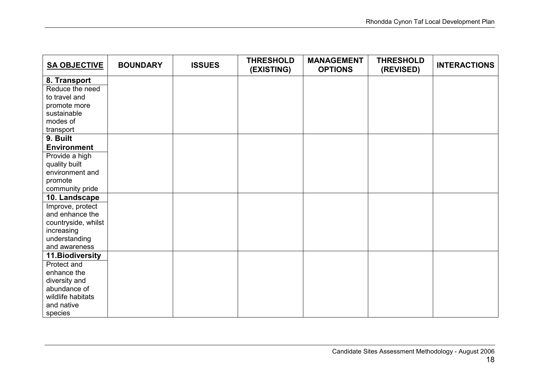| <b>SA OBJECTIVE</b>               | <b>BOUNDARY</b> | <b>ISSUES</b> | <b>THRESHOLD</b><br>(EXISTING) | <b>MANAGEMENT</b><br><b>OPTIONS</b> | <b>THRESHOLD</b><br>(REVISED) | <b>INTERACTIONS</b> |
|-----------------------------------|-----------------|---------------|--------------------------------|-------------------------------------|-------------------------------|---------------------|
| 8. Transport                      |                 |               |                                |                                     |                               |                     |
| Reduce the need                   |                 |               |                                |                                     |                               |                     |
| to travel and                     |                 |               |                                |                                     |                               |                     |
| promote more                      |                 |               |                                |                                     |                               |                     |
| sustainable                       |                 |               |                                |                                     |                               |                     |
| modes of                          |                 |               |                                |                                     |                               |                     |
| transport                         |                 |               |                                |                                     |                               |                     |
| 9. Built                          |                 |               |                                |                                     |                               |                     |
| <b>Environment</b>                |                 |               |                                |                                     |                               |                     |
| Provide a high                    |                 |               |                                |                                     |                               |                     |
| quality built                     |                 |               |                                |                                     |                               |                     |
| environment and                   |                 |               |                                |                                     |                               |                     |
| promote                           |                 |               |                                |                                     |                               |                     |
| community pride                   |                 |               |                                |                                     |                               |                     |
| 10. Landscape                     |                 |               |                                |                                     |                               |                     |
| Improve, protect                  |                 |               |                                |                                     |                               |                     |
| and enhance the                   |                 |               |                                |                                     |                               |                     |
| countryside, whilst<br>increasing |                 |               |                                |                                     |                               |                     |
| understanding                     |                 |               |                                |                                     |                               |                     |
| and awareness                     |                 |               |                                |                                     |                               |                     |
| 11. Biodiversity                  |                 |               |                                |                                     |                               |                     |
| Protect and                       |                 |               |                                |                                     |                               |                     |
| enhance the                       |                 |               |                                |                                     |                               |                     |
| diversity and                     |                 |               |                                |                                     |                               |                     |
| abundance of                      |                 |               |                                |                                     |                               |                     |
| wildlife habitats                 |                 |               |                                |                                     |                               |                     |
| and native                        |                 |               |                                |                                     |                               |                     |
| species                           |                 |               |                                |                                     |                               |                     |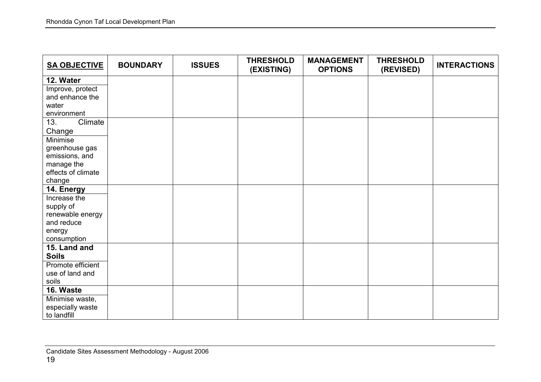| <b>SA OBJECTIVE</b>          | <b>BOUNDARY</b> | <b>ISSUES</b> | <b>THRESHOLD</b><br>(EXISTING) | <b>MANAGEMENT</b><br><b>OPTIONS</b> | <b>THRESHOLD</b><br>(REVISED) | <b>INTERACTIONS</b> |
|------------------------------|-----------------|---------------|--------------------------------|-------------------------------------|-------------------------------|---------------------|
| 12. Water                    |                 |               |                                |                                     |                               |                     |
| Improve, protect             |                 |               |                                |                                     |                               |                     |
| and enhance the              |                 |               |                                |                                     |                               |                     |
| water                        |                 |               |                                |                                     |                               |                     |
| environment                  |                 |               |                                |                                     |                               |                     |
| Climate<br>13.               |                 |               |                                |                                     |                               |                     |
| Change                       |                 |               |                                |                                     |                               |                     |
| <b>Minimise</b>              |                 |               |                                |                                     |                               |                     |
| greenhouse gas               |                 |               |                                |                                     |                               |                     |
| emissions, and               |                 |               |                                |                                     |                               |                     |
| manage the                   |                 |               |                                |                                     |                               |                     |
| effects of climate<br>change |                 |               |                                |                                     |                               |                     |
| 14. Energy                   |                 |               |                                |                                     |                               |                     |
| Increase the                 |                 |               |                                |                                     |                               |                     |
| supply of                    |                 |               |                                |                                     |                               |                     |
| renewable energy             |                 |               |                                |                                     |                               |                     |
| and reduce                   |                 |               |                                |                                     |                               |                     |
| energy                       |                 |               |                                |                                     |                               |                     |
| consumption                  |                 |               |                                |                                     |                               |                     |
| 15. Land and                 |                 |               |                                |                                     |                               |                     |
| <b>Soils</b>                 |                 |               |                                |                                     |                               |                     |
| Promote efficient            |                 |               |                                |                                     |                               |                     |
| use of land and              |                 |               |                                |                                     |                               |                     |
| soils                        |                 |               |                                |                                     |                               |                     |
| 16. Waste                    |                 |               |                                |                                     |                               |                     |
| Minimise waste,              |                 |               |                                |                                     |                               |                     |
| especially waste             |                 |               |                                |                                     |                               |                     |
| to landfill                  |                 |               |                                |                                     |                               |                     |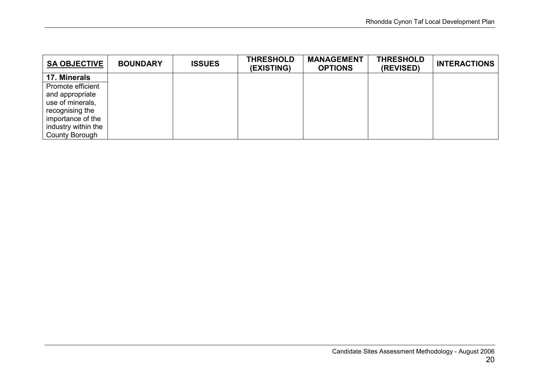| <b>SA OBJECTIVE</b> | <b>BOUNDARY</b> | <b>ISSUES</b> | <b>THRESHOLD</b><br>(EXISTING) | <b>MANAGEMENT</b><br><b>OPTIONS</b> | <b>THRESHOLD</b><br>(REVISED) | <b>INTERACTIONS</b> |
|---------------------|-----------------|---------------|--------------------------------|-------------------------------------|-------------------------------|---------------------|
| 17. Minerals        |                 |               |                                |                                     |                               |                     |
| Promote efficient   |                 |               |                                |                                     |                               |                     |
| and appropriate     |                 |               |                                |                                     |                               |                     |
| use of minerals,    |                 |               |                                |                                     |                               |                     |
| recognising the     |                 |               |                                |                                     |                               |                     |
| importance of the   |                 |               |                                |                                     |                               |                     |
| industry within the |                 |               |                                |                                     |                               |                     |
| County Borough      |                 |               |                                |                                     |                               |                     |